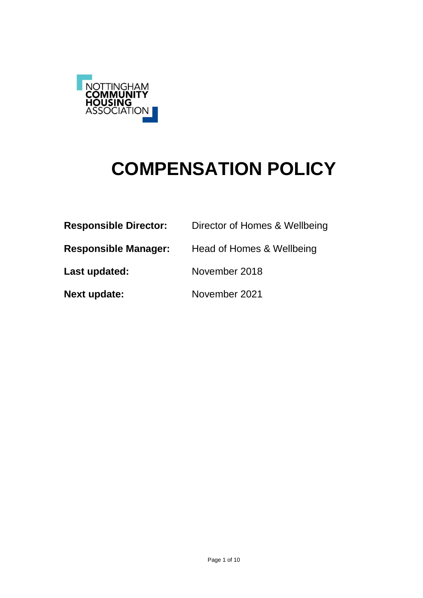

# **COMPENSATION POLICY**

| <b>Responsible Director:</b> | Director of Homes & Wellbeing |
|------------------------------|-------------------------------|
| <b>Responsible Manager:</b>  | Head of Homes & Wellbeing     |
| Last updated:                | November 2018                 |
| Next update:                 | November 2021                 |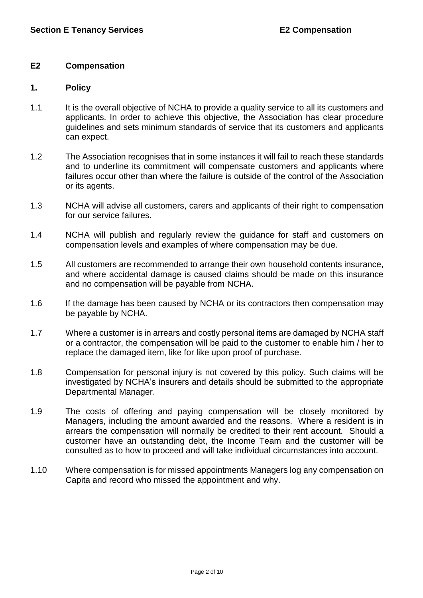# **E2 Compensation**

### **1. Policy**

- 1.1 It is the overall objective of NCHA to provide a quality service to all its customers and applicants. In order to achieve this objective, the Association has clear procedure guidelines and sets minimum standards of service that its customers and applicants can expect.
- 1.2 The Association recognises that in some instances it will fail to reach these standards and to underline its commitment will compensate customers and applicants where failures occur other than where the failure is outside of the control of the Association or its agents.
- 1.3 NCHA will advise all customers, carers and applicants of their right to compensation for our service failures.
- 1.4 NCHA will publish and regularly review the guidance for staff and customers on compensation levels and examples of where compensation may be due.
- 1.5 All customers are recommended to arrange their own household contents insurance, and where accidental damage is caused claims should be made on this insurance and no compensation will be payable from NCHA.
- 1.6 If the damage has been caused by NCHA or its contractors then compensation may be payable by NCHA.
- 1.7 Where a customer is in arrears and costly personal items are damaged by NCHA staff or a contractor, the compensation will be paid to the customer to enable him / her to replace the damaged item, like for like upon proof of purchase.
- 1.8 Compensation for personal injury is not covered by this policy. Such claims will be investigated by NCHA's insurers and details should be submitted to the appropriate Departmental Manager.
- 1.9 The costs of offering and paying compensation will be closely monitored by Managers, including the amount awarded and the reasons. Where a resident is in arrears the compensation will normally be credited to their rent account. Should a customer have an outstanding debt, the Income Team and the customer will be consulted as to how to proceed and will take individual circumstances into account.
- 1.10 Where compensation is for missed appointments Managers log any compensation on Capita and record who missed the appointment and why.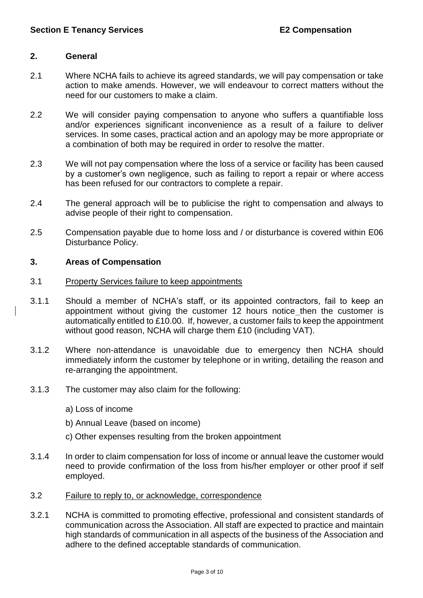# **2. General**

- 2.1 Where NCHA fails to achieve its agreed standards, we will pay compensation or take action to make amends. However, we will endeavour to correct matters without the need for our customers to make a claim.
- 2.2 We will consider paying compensation to anyone who suffers a quantifiable loss and/or experiences significant inconvenience as a result of a failure to deliver services. In some cases, practical action and an apology may be more appropriate or a combination of both may be required in order to resolve the matter.
- 2.3 We will not pay compensation where the loss of a service or facility has been caused by a customer's own negligence, such as failing to report a repair or where access has been refused for our contractors to complete a repair.
- 2.4 The general approach will be to publicise the right to compensation and always to advise people of their right to compensation.
- 2.5 Compensation payable due to home loss and / or disturbance is covered within E06 Disturbance Policy.

# **3. Areas of Compensation**

#### 3.1 Property Services failure to keep appointments

- 3.1.1 Should a member of NCHA's staff, or its appointed contractors, fail to keep an appointment without giving the customer 12 hours notice then the customer is automatically entitled to £10.00. If, however, a customer fails to keep the appointment without good reason, NCHA will charge them £10 (including VAT).
- 3.1.2 Where non-attendance is unavoidable due to emergency then NCHA should immediately inform the customer by telephone or in writing, detailing the reason and re-arranging the appointment.
- 3.1.3 The customer may also claim for the following:
	- a) Loss of income
	- b) Annual Leave (based on income)
	- c) Other expenses resulting from the broken appointment
- 3.1.4 In order to claim compensation for loss of income or annual leave the customer would need to provide confirmation of the loss from his/her employer or other proof if self employed.
- 3.2 Failure to reply to, or acknowledge, correspondence
- 3.2.1 NCHA is committed to promoting effective, professional and consistent standards of communication across the Association. All staff are expected to practice and maintain high standards of communication in all aspects of the business of the Association and adhere to the defined acceptable standards of communication.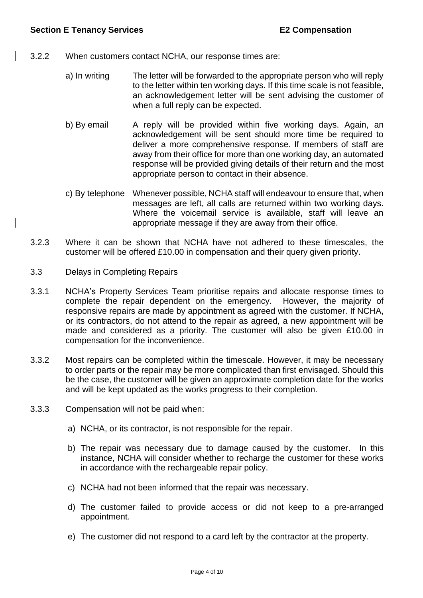- 3.2.2 When customers contact NCHA, our response times are:
	- a) In writing The letter will be forwarded to the appropriate person who will reply to the letter within ten working days. If this time scale is not feasible, an acknowledgement letter will be sent advising the customer of when a full reply can be expected.
	- b) By email A reply will be provided within five working days. Again, an acknowledgement will be sent should more time be required to deliver a more comprehensive response. If members of staff are away from their office for more than one working day, an automated response will be provided giving details of their return and the most appropriate person to contact in their absence.
	- c) By telephone Whenever possible, NCHA staff will endeavour to ensure that, when messages are left, all calls are returned within two working days. Where the voicemail service is available, staff will leave an appropriate message if they are away from their office.
- 3.2.3 Where it can be shown that NCHA have not adhered to these timescales, the customer will be offered £10.00 in compensation and their query given priority.

# 3.3 Delays in Completing Repairs

- 3.3.1 NCHA's Property Services Team prioritise repairs and allocate response times to complete the repair dependent on the emergency. However, the majority of responsive repairs are made by appointment as agreed with the customer. If NCHA, or its contractors, do not attend to the repair as agreed, a new appointment will be made and considered as a priority. The customer will also be given £10.00 in compensation for the inconvenience.
- 3.3.2 Most repairs can be completed within the timescale. However, it may be necessary to order parts or the repair may be more complicated than first envisaged. Should this be the case, the customer will be given an approximate completion date for the works and will be kept updated as the works progress to their completion.
- 3.3.3 Compensation will not be paid when:
	- a) NCHA, or its contractor, is not responsible for the repair.
	- b) The repair was necessary due to damage caused by the customer. In this instance, NCHA will consider whether to recharge the customer for these works in accordance with the rechargeable repair policy.
	- c) NCHA had not been informed that the repair was necessary.
	- d) The customer failed to provide access or did not keep to a pre-arranged appointment.
	- e) The customer did not respond to a card left by the contractor at the property.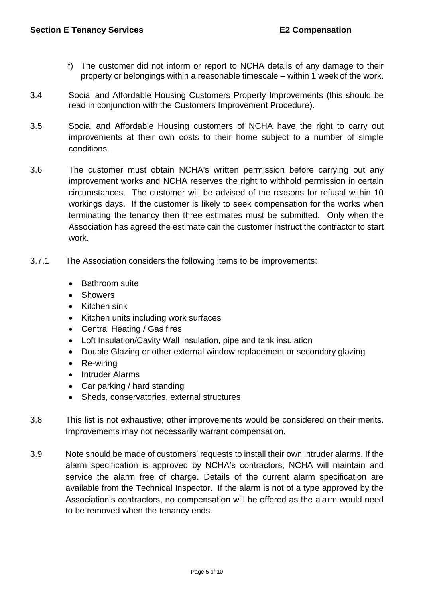- f) The customer did not inform or report to NCHA details of any damage to their property or belongings within a reasonable timescale – within 1 week of the work.
- 3.4 Social and Affordable Housing Customers Property Improvements (this should be read in conjunction with the Customers Improvement Procedure).
- 3.5 Social and Affordable Housing customers of NCHA have the right to carry out improvements at their own costs to their home subject to a number of simple conditions.
- 3.6 The customer must obtain NCHA's written permission before carrying out any improvement works and NCHA reserves the right to withhold permission in certain circumstances. The customer will be advised of the reasons for refusal within 10 workings days. If the customer is likely to seek compensation for the works when terminating the tenancy then three estimates must be submitted. Only when the Association has agreed the estimate can the customer instruct the contractor to start work.
- 3.7.1 The Association considers the following items to be improvements:
	- Bathroom suite
	- **Showers**
	- Kitchen sink
	- Kitchen units including work surfaces
	- Central Heating / Gas fires
	- Loft Insulation/Cavity Wall Insulation, pipe and tank insulation
	- Double Glazing or other external window replacement or secondary glazing
	- Re-wiring
	- Intruder Alarms
	- Car parking / hard standing
	- Sheds, conservatories, external structures
- 3.8 This list is not exhaustive; other improvements would be considered on their merits. Improvements may not necessarily warrant compensation.
- 3.9 Note should be made of customers' requests to install their own intruder alarms. If the alarm specification is approved by NCHA's contractors, NCHA will maintain and service the alarm free of charge. Details of the current alarm specification are available from the Technical Inspector. If the alarm is not of a type approved by the Association's contractors, no compensation will be offered as the alarm would need to be removed when the tenancy ends.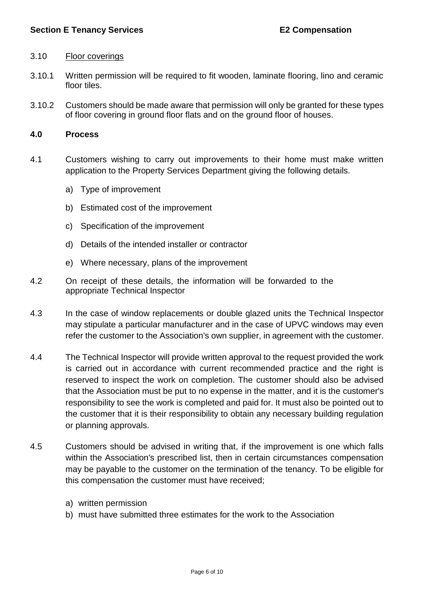# 3.10 Floor coverings

- 3.10.1 Written permission will be required to fit wooden, laminate flooring, lino and ceramic floor tiles.
- 3.10.2 Customers should be made aware that permission will only be granted for these types of floor covering in ground floor flats and on the ground floor of houses.

### **4.0 Process**

- 4.1 Customers wishing to carry out improvements to their home must make written application to the Property Services Department giving the following details.
	- a) Type of improvement
	- b) Estimated cost of the improvement
	- c) Specification of the improvement
	- d) Details of the intended installer or contractor
	- e) Where necessary, plans of the improvement
- 4.2 On receipt of these details, the information will be forwarded to the appropriate Technical Inspector
- 4.3 In the case of window replacements or double glazed units the Technical Inspector may stipulate a particular manufacturer and in the case of UPVC windows may even refer the customer to the Association's own supplier, in agreement with the customer.
- 4.4 The Technical Inspector will provide written approval to the request provided the work is carried out in accordance with current recommended practice and the right is reserved to inspect the work on completion. The customer should also be advised that the Association must be put to no expense in the matter, and it is the customer's responsibility to see the work is completed and paid for. It must also be pointed out to the customer that it is their responsibility to obtain any necessary building regulation or planning approvals.
- 4.5 Customers should be advised in writing that, if the improvement is one which falls within the Association's prescribed list, then in certain circumstances compensation may be payable to the customer on the termination of the tenancy. To be eligible for this compensation the customer must have received;
	- a) written permission
	- b) must have submitted three estimates for the work to the Association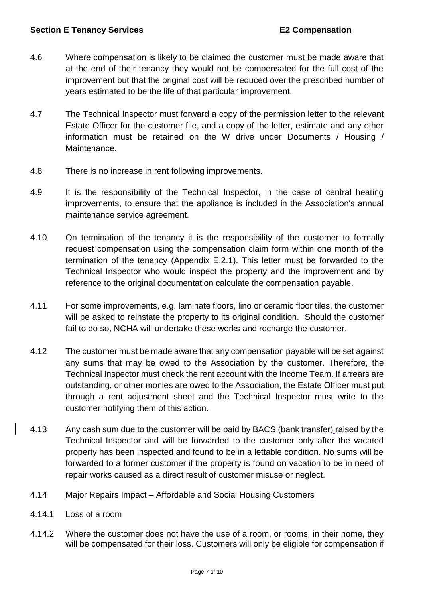- 4.6 Where compensation is likely to be claimed the customer must be made aware that at the end of their tenancy they would not be compensated for the full cost of the improvement but that the original cost will be reduced over the prescribed number of years estimated to be the life of that particular improvement.
- 4.7 The Technical Inspector must forward a copy of the permission letter to the relevant Estate Officer for the customer file, and a copy of the letter, estimate and any other information must be retained on the W drive under Documents / Housing / Maintenance.
- 4.8 There is no increase in rent following improvements.
- 4.9 It is the responsibility of the Technical Inspector, in the case of central heating improvements, to ensure that the appliance is included in the Association's annual maintenance service agreement.
- 4.10 On termination of the tenancy it is the responsibility of the customer to formally request compensation using the compensation claim form within one month of the termination of the tenancy (Appendix E.2.1). This letter must be forwarded to the Technical Inspector who would inspect the property and the improvement and by reference to the original documentation calculate the compensation payable.
- 4.11 For some improvements, e.g. laminate floors, lino or ceramic floor tiles, the customer will be asked to reinstate the property to its original condition. Should the customer fail to do so, NCHA will undertake these works and recharge the customer.
- 4.12 The customer must be made aware that any compensation payable will be set against any sums that may be owed to the Association by the customer. Therefore, the Technical Inspector must check the rent account with the Income Team. If arrears are outstanding, or other monies are owed to the Association, the Estate Officer must put through a rent adjustment sheet and the Technical Inspector must write to the customer notifying them of this action.
- 4.13 Any cash sum due to the customer will be paid by BACS (bank transfer) raised by the Technical Inspector and will be forwarded to the customer only after the vacated property has been inspected and found to be in a lettable condition. No sums will be forwarded to a former customer if the property is found on vacation to be in need of repair works caused as a direct result of customer misuse or neglect.
- 4.14 Major Repairs Impact Affordable and Social Housing Customers
- 4.14.1 Loss of a room
- 4.14.2 Where the customer does not have the use of a room, or rooms, in their home, they will be compensated for their loss. Customers will only be eligible for compensation if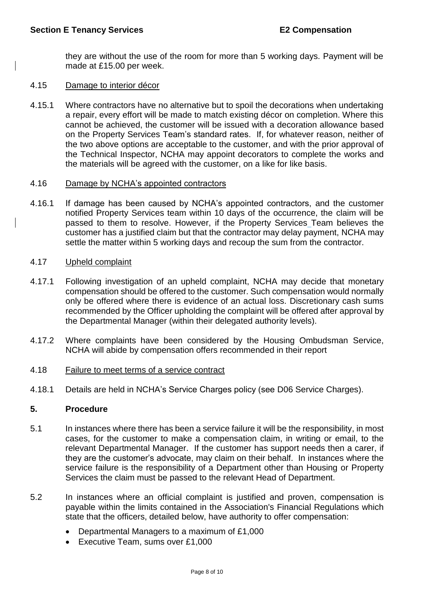they are without the use of the room for more than 5 working days. Payment will be made at £15.00 per week.

#### 4.15 Damage to interior décor

4.15.1 Where contractors have no alternative but to spoil the decorations when undertaking a repair, every effort will be made to match existing décor on completion. Where this cannot be achieved, the customer will be issued with a decoration allowance based on the Property Services Team's standard rates. If, for whatever reason, neither of the two above options are acceptable to the customer, and with the prior approval of the Technical Inspector, NCHA may appoint decorators to complete the works and the materials will be agreed with the customer, on a like for like basis.

#### 4.16 Damage by NCHA's appointed contractors

4.16.1 If damage has been caused by NCHA's appointed contractors, and the customer notified Property Services team within 10 days of the occurrence, the claim will be passed to them to resolve. However, if the Property Services Team believes the customer has a justified claim but that the contractor may delay payment, NCHA may settle the matter within 5 working days and recoup the sum from the contractor.

# 4.17 Upheld complaint

- 4.17.1 Following investigation of an upheld complaint, NCHA may decide that monetary compensation should be offered to the customer. Such compensation would normally only be offered where there is evidence of an actual loss. Discretionary cash sums recommended by the Officer upholding the complaint will be offered after approval by the Departmental Manager (within their delegated authority levels).
- 4.17.2 Where complaints have been considered by the Housing Ombudsman Service, NCHA will abide by compensation offers recommended in their report

#### 4.18 Failure to meet terms of a service contract

4.18.1 Details are held in NCHA's Service Charges policy (see D06 Service Charges).

#### **5. Procedure**

- 5.1 In instances where there has been a service failure it will be the responsibility, in most cases, for the customer to make a compensation claim, in writing or email, to the relevant Departmental Manager. If the customer has support needs then a carer, if they are the customer's advocate, may claim on their behalf. In instances where the service failure is the responsibility of a Department other than Housing or Property Services the claim must be passed to the relevant Head of Department.
- 5.2 In instances where an official complaint is justified and proven, compensation is payable within the limits contained in the Association's Financial Regulations which state that the officers, detailed below, have authority to offer compensation:
	- Departmental Managers to a maximum of £1,000
	- Executive Team, sums over £1,000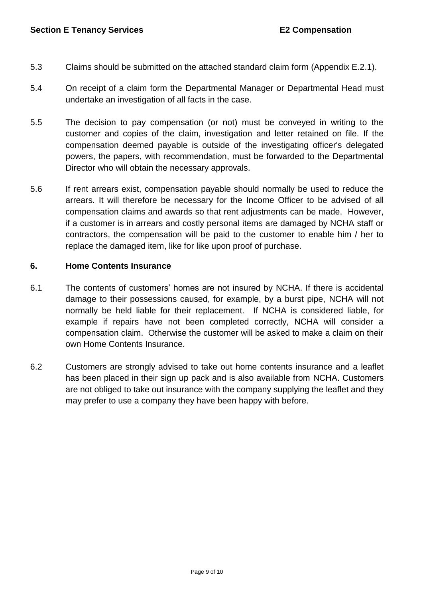- 5.3 Claims should be submitted on the attached standard claim form (Appendix E.2.1).
- 5.4 On receipt of a claim form the Departmental Manager or Departmental Head must undertake an investigation of all facts in the case.
- 5.5 The decision to pay compensation (or not) must be conveyed in writing to the customer and copies of the claim, investigation and letter retained on file. If the compensation deemed payable is outside of the investigating officer's delegated powers, the papers, with recommendation, must be forwarded to the Departmental Director who will obtain the necessary approvals.
- 5.6 If rent arrears exist, compensation payable should normally be used to reduce the arrears. It will therefore be necessary for the Income Officer to be advised of all compensation claims and awards so that rent adjustments can be made. However, if a customer is in arrears and costly personal items are damaged by NCHA staff or contractors, the compensation will be paid to the customer to enable him / her to replace the damaged item, like for like upon proof of purchase.

# **6. Home Contents Insurance**

- 6.1 The contents of customers' homes are not insured by NCHA. If there is accidental damage to their possessions caused, for example, by a burst pipe, NCHA will not normally be held liable for their replacement. If NCHA is considered liable, for example if repairs have not been completed correctly, NCHA will consider a compensation claim. Otherwise the customer will be asked to make a claim on their own Home Contents Insurance.
- 6.2 Customers are strongly advised to take out home contents insurance and a leaflet has been placed in their sign up pack and is also available from NCHA. Customers are not obliged to take out insurance with the company supplying the leaflet and they may prefer to use a company they have been happy with before.